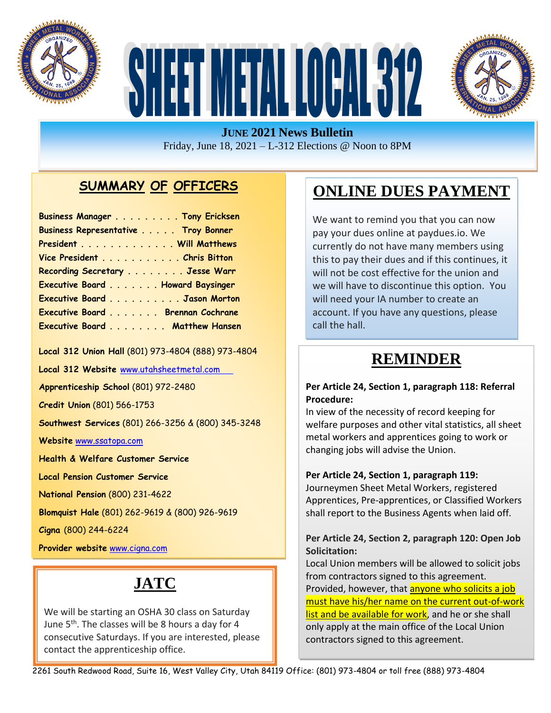





#### **JUNE 2021 News Bulletin** Friday, June 18, 2021 – L-312 Elections @ Noon to 8PM

### **SUMMARY OF OFFICERS**

| Business Manager Tony Ericksen      |  |
|-------------------------------------|--|
| Business Representative Troy Bonner |  |
| President Will Matthews             |  |
| Vice President Chris Bitton         |  |
| Recording Secretary Jesse Warr      |  |
| Executive Board Howard Baysinger    |  |
| Executive Board Jason Morton        |  |
| Executive Board Brennan Cochrane    |  |
| Executive Board Matthew Hansen      |  |

**Local 312 Union Hall** (801) 973-4804 (888) 973-4804

**Local 312 Website** [www.utahsheetmetal.com](http://www.utahsheetmetal.com/)

**Apprenticeship School** (801) 972-2480

**Credit Union** (801) 566-1753

**Southwest Services** (801) 266-3256 & (800) 345-3248

**Website** [www.ssatopa.com](http://www.ssatopa.com/)

**Health & Welfare Customer Service**

**Local Pension Customer Service**

**National Pension** (800) 231-4622

**Blomquist Hale** (801) 262-9619 & (800) 926-9619

**Cigna** (800) 244-6224

**Provider website** [www.cigna.com](http://www.cigna.com/)

## **JATC**

**Dobson & Associates** (801) 274-3028 (877) 402-9805

We will be starting an OSHA 30 class on Saturday June 5<sup>th</sup>. The classes will be 8 hours a day for 4 consecutive Saturdays. If you are interested, please contact the apprenticeship office.

## **ONLINE DUES PAYMENT**

We want to remind you that you can now pay your dues online at paydues.io. We currently do not have many members using this to pay their dues and if this continues, it will not be cost effective for the union and we will have to discontinue this option. You will need your IA number to create an account. If you have any questions, please call the hall.

## **REMINDER**

#### **Per Article 24, Section 1, paragraph 118: Referral Procedure:**

 welfare purposes and other vital statistics, all sheet In view of the necessity of record keeping for metal workers and apprentices going to work or changing jobs will advise the Union.

#### **Per Article 24, Section 1, paragraph 119:**

Journeymen Sheet Metal Workers, registered Apprentices, Pre-apprentices, or Classified Workers shall report to the Business Agents when laid off.

#### **Per Article 24, Section 2, paragraph 120: Open Job Solicitation:**

Local Union members will be allowed to solicit jobs from contractors signed to this agreement. Provided, however, that anyone who solicits a job must have his/her name on the current out-of-work list and be available for work, and he or she shall only apply at the main office of the Local Union contractors signed to this agreement.